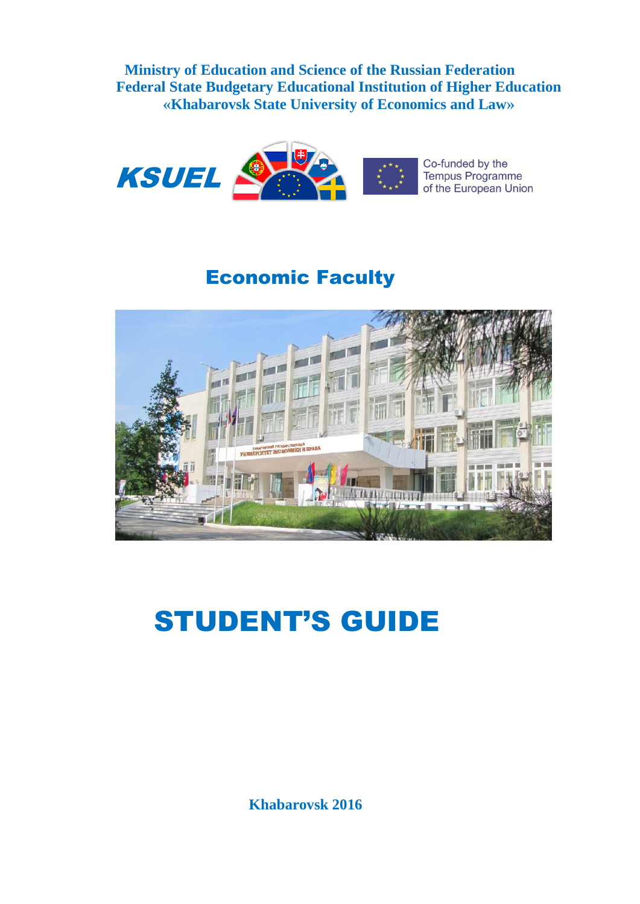**Ministry of Education and Science of the Russian Federation Federal State Budgetary Educational Institution of Higher Education «Khabarovsk State University of Economics and Law»**



# Economic Faculty



# STUDENT'S GUIDE

 **Khabarovsk 2016**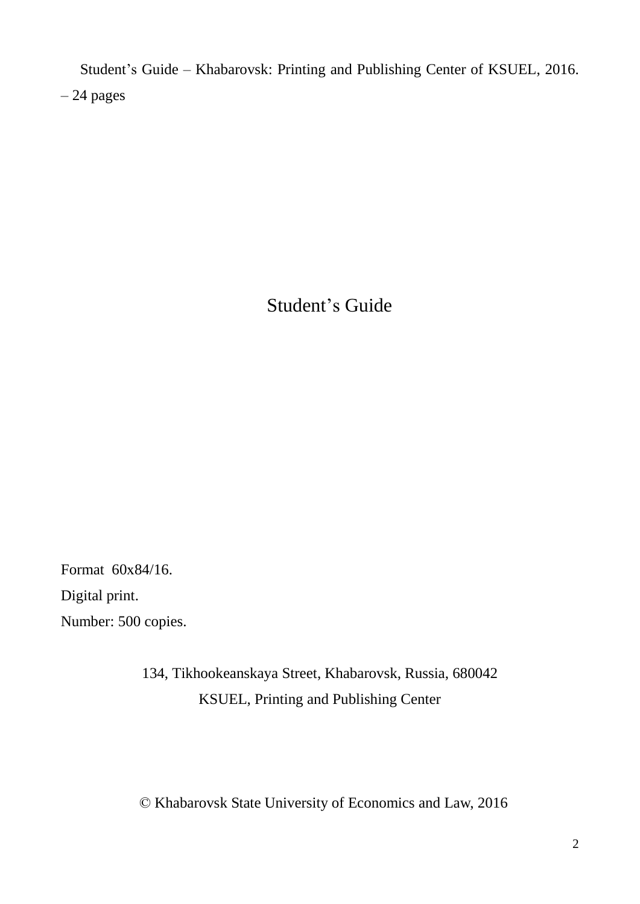Student's Guide – Khabarovsk: Printing and Publishing Center of KSUEL, 2016. – 24 pages

Student's Guide

Format 60х84/16. Digital print. Number: 500 copies.

> 134, Tikhookeanskaya Street, Khabarovsk, Russia, 680042 KSUEL, Printing and Publishing Center

© Khabarovsk State University of Economics and Law, 2016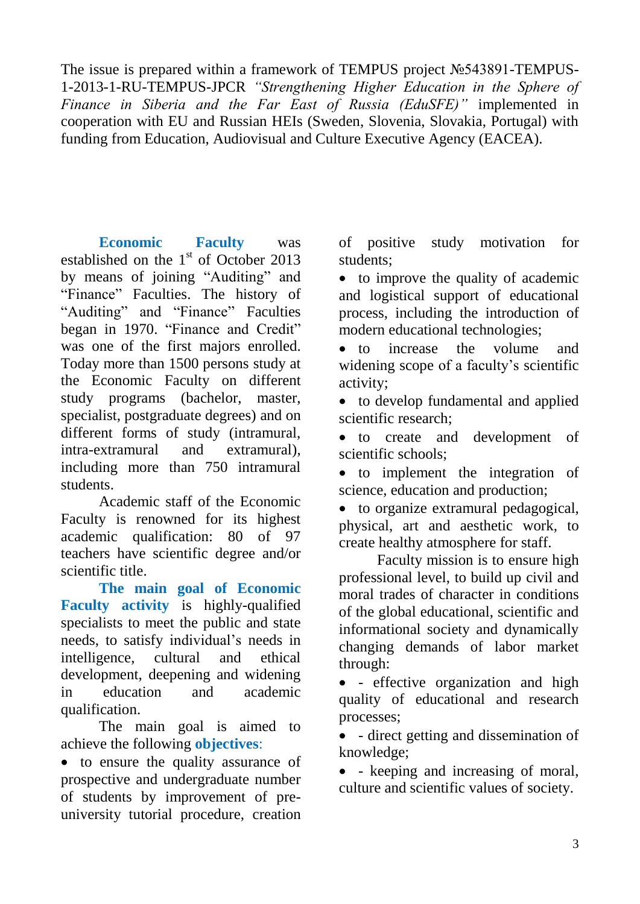The issue is prepared within a framework of TEMPUS project №543891-TEMPUS-1-2013-1-RU-TEMPUS-JPCR *"Strengthening Higher Education in the Sphere of Finance in Siberia and the Far East of Russia (EduSFE)"* implemented in cooperation with EU and Russian HEIs (Sweden, Slovenia, Slovakia, Portugal) with funding from Education, Audiovisual and Culture Executive Agency (EACEA).

**Economic Faculty** was established on the 1<sup>st</sup> of October 2013 by means of joining "Auditing" and "Finance" Faculties. The history of "Auditing" and "Finance" Faculties began in 1970. "Finance and Credit" was one of the first majors enrolled. Today more than 1500 persons study at the Economic Faculty on different study programs (bachelor, master, specialist, postgraduate degrees) and on different forms of study (intramural, intra-extramural and extramural), including more than 750 intramural students.

Academic staff of the Economic Faculty is renowned for its highest academic qualification: 80 of 97 teachers have scientific degree and/or scientific title.

**The main goal of Economic Faculty activity** is highly-qualified specialists to meet the public and state needs, to satisfy individual's needs in intelligence, cultural and ethical development, deepening and widening in education and academic qualification.

The main goal is aimed to achieve the following **objectives**:

• to ensure the quality assurance of prospective and undergraduate number of students by improvement of preuniversity tutorial procedure, creation

of positive study motivation for students;

• to improve the quality of academic and logistical support of educational process, including the introduction of modern educational technologies;

 to increase the volume and widening scope of a faculty's scientific activity;

• to develop fundamental and applied scientific research;

 to create and development of scientific schools;

 to implement the integration of science, education and production;

 to organize extramural pedagogical, physical, art and aesthetic work, to create healthy atmosphere for staff.

Faculty mission is to ensure high professional level, to build up civil and moral trades of character in conditions of the global educational, scientific and informational society and dynamically changing demands of labor market through:

 - effective organization and high quality of educational and research processes;

 - direct getting and dissemination of knowledge;

• - keeping and increasing of moral, culture and scientific values of society.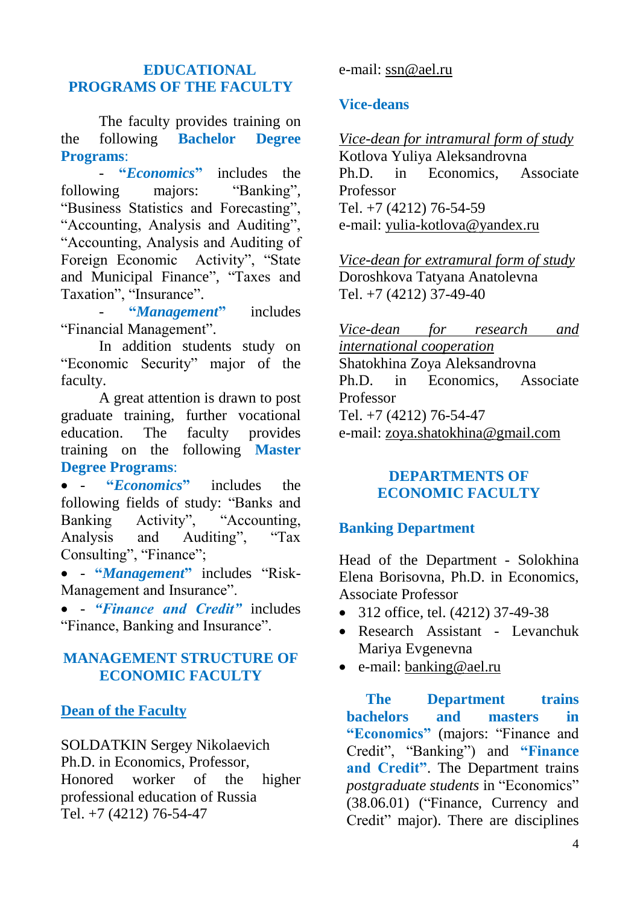#### **EDUCATIONAL PROGRAMS OF THE FACULTY**

The faculty provides training on the following **Bachelor Degree Programs**:

- **"***Economics***"** includes the following majors: "Banking", "Business Statistics and Forecasting", "Accounting, Analysis and Auditing", "Accounting, Analysis and Auditing of Foreign Economic Activity", "State and Municipal Finance", "Taxes and Taxation", "Insurance".

- **"***Management***"** includes "Financial Management".

In addition students study on "Economic Security" major of the faculty.

A great attention is drawn to post graduate training, further vocational education. The faculty provides training on the following **Master Degree Programs**:

 - **"***Economics***"** includes the following fields of study: "Banks and Banking Activity", "Accounting, Analysis and Auditing", "Tax Consulting", "Finance";

 - **"***Management***"** includes "Risk-Management and Insurance".

 - *"Finance and Credit"* includes "Finance, Banking and Insurance".

#### **MANAGEMENT STRUCTURE OF ECONOMIC FACULTY**

#### **Dean of the Faculty**

SOLDATKIN Sergey Nikolaevich Ph.D. in Economics, Professor, Honored worker of the higher professional education of Russia Tel. +7 (4212) 76-54-47

#### e-mail: [ssn@ael.ru](mailto:ssn@ael.ru)

#### **Vice-deans**

*Vice-dean for intramural form of study* Kotlova Yuliya Aleksandrovna Ph.D. in Economics, Associate Professor Tel. +7 (4212) 76-54-59 e-mail: [yulia-kotlova@yandex.ru](mailto:Yulia-kotlova@yandex.ru)

*Vice-dean for extramural form of study* Doroshkova Tatyana Anatolevna Tel. +7 (4212) 37-49-40

*Vice-dean for research and international cooperation* Shatokhina Zoya Aleksandrovna Ph.D. in Economics, Associate Professor Tel. +7 (4212) 76-54-47 e-mail: [zoya.shatokhina@gmail.com](mailto:zoya.shatokhina@gmail.com)

#### **DEPARTMENTS OF ECONOMIC FACULTY**

#### **Banking Department**

Head of the Department - Solokhina Elena Borisovna, Ph.D. in Economics, Associate Professor

- 312 office, tel. (4212) 37-49-38
- Research Assistant Levanchuk Mariya Evgenevna
- e-mail: [banking@ael.ru](mailto:banking@ael.ru)

**The Department trains bachelors and masters in "Economics"** (majors: "Finance and Credit", "Banking") and **"Finance and Credit"**. The Department trains *postgraduate students* in "Economics" (38.06.01) ("Finance, Currency and Credit" major). There are disciplines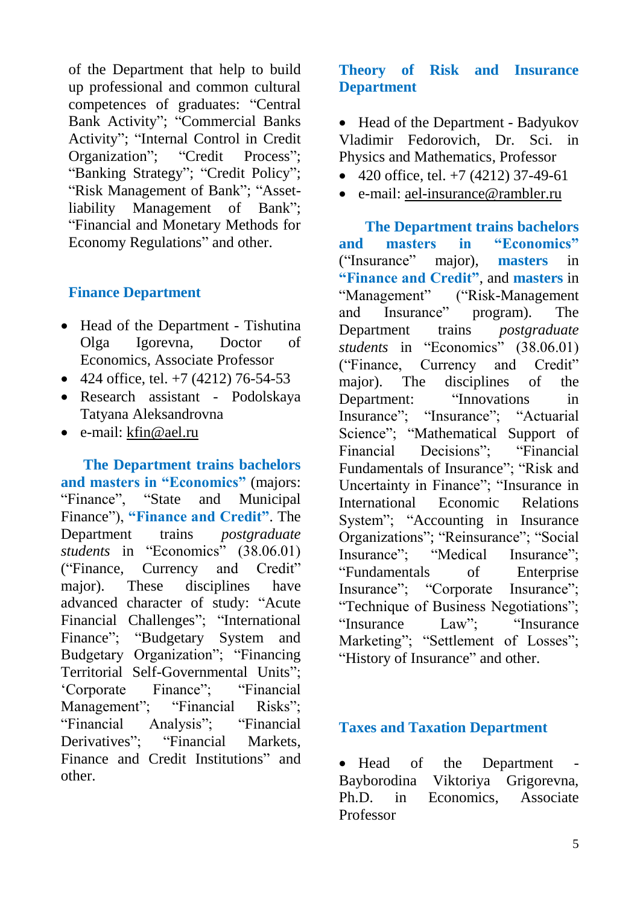of the Department that help to build up professional and common cultural competences of graduates: "Central Bank Activity"; "Commercial Banks Activity"; "Internal Control in Credit Organization"; "Credit Process"; "Banking Strategy"; "Credit Policy"; "Risk Management of Bank"; "Assetliability Management of Bank"; "Financial and Monetary Methods for Economy Regulations" and other.

#### **Finance Department**

- Head of the Department Tishutina Olga Igorevna, Doctor of Economics, Associate Professor
- 424 office, tel.  $+7$  (4212) 76-54-53
- Research assistant Podolskaya Tatyana Aleksandrovna
- e-mail: [kfin@ael.ru](mailto:kfin@ael.ru)

 **The Department trains bachelors and masters in "Economics"** (majors: "Finance", "State and Municipal Finance"), **"Finance and Credit"**. The Department trains *postgraduate students* in "Economics" (38.06.01) ("Finance, Currency and Credit" major). These disciplines have advanced character of study: "Acute Financial Challenges"; "International Finance"; "Budgetary System and Budgetary Organization"; "Financing Territorial Self-Governmental Units"; 'Corporate Finance"; "Financial Management"; "Financial Risks"; "Financial Analysis"; "Financial Derivatives": "Financial Markets, Finance and Credit Institutions" and other.

#### **Theory of Risk and Insurance Department**

• Head of the Department - Badyukov Vladimir Fedorovich, Dr. Sci. in Physics and Mathematics, Professor

- $\bullet$  420 office, tel. +7 (4212) 37-49-61
- e-mail: [ael-insurance@rambler.ru](mailto:ael-insurance@rambler.ru)

 **The Department trains bachelors and masters in "Economics"**  ("Insurance" major), **masters** in **"Finance and Credit"**, and **masters** in<br>"Management" ("Risk-Management") ("Risk-Management" and Insurance" program). The Department trains *postgraduate students* in "Economics" (38.06.01) ("Finance, Currency and Credit" major). The disciplines of the Department: "Innovations in Insurance"; "Insurance"; "Actuarial Science"; "Mathematical Support of Financial Decisions"; "Financial Fundamentals of Insurance"; "Risk and Uncertainty in Finance"; "Insurance in International Economic Relations System"; "Accounting in Insurance Organizations"; "Reinsurance"; "Social Insurance"; "Medical Insurance"; "Fundamentals of Enterprise Insurance"; "Corporate Insurance"; "Technique of Business Negotiations"; "Insurance Law"; "Insurance Marketing"; "Settlement of Losses"; "History of Insurance" and other.

#### **Taxes and Taxation Department**

• Head of the Department Bayborodina Viktoriya Grigorevna, Ph.D. in Economics, Associate Professor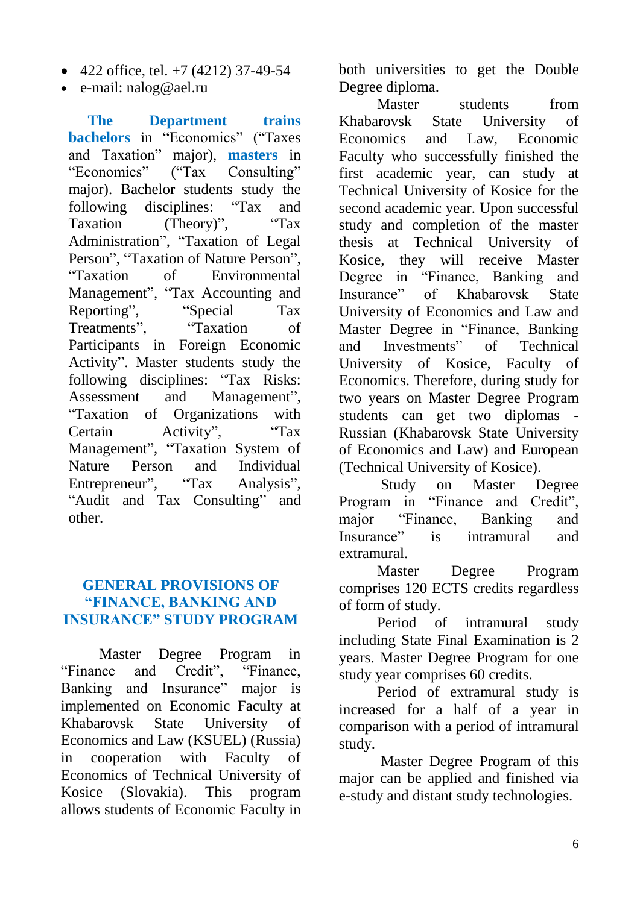- $\bullet$  422 office, tel. +7 (4212) 37-49-54
- e-mail: [nalog@ael.ru](mailto:nalog@ael.ru)

**The Department trains bachelors** in "Economics" ("Taxes and Taxation" major), **masters** in "Economics" ("Tax Consulting" major). Bachelor students study the following disciplines: "Tax and Taxation (Theory)", "Tax Administration", "Taxation of Legal Person", "Taxation of Nature Person", "Taxation of Environmental Management", "Tax Accounting and Reporting", "Special Tax Treatments", "Taxation of Participants in Foreign Economic Activity". Master students study the following disciplines: "Tax Risks: Assessment and Management", "Taxation of Organizations with Certain Activity", "Tax Management", "Taxation System of Nature Person and Individual Entrepreneur", "Tax Analysis", "Audit and Tax Consulting" and other.

#### **GENERAL PROVISIONS OF "FINANCE, BANKING AND INSURANCE" STUDY PROGRAM**

Master Degree Program in "Finance and Credit", "Finance, Banking and Insurance" major is implemented on Economic Faculty at Khabarovsk State University of Economics and Law (KSUEL) (Russia) in cooperation with Faculty of Economics of Technical University of Kosice (Slovakia). This program allows students of Economic Faculty in

both universities to get the Double Degree diploma.

Master students from Khabarovsk State University of Economics and Law, Economic Faculty who successfully finished the first academic year, can study at Technical University of Kosice for the second academic year. Upon successful study and completion of the master thesis at Technical University of Kosice, they will receive Master Degree in "Finance, Banking and Insurance" of Khabarovsk State University of Economics and Law and Master Degree in "Finance, Banking and Investments" of Technical University of Kosice, Faculty of Economics. Therefore, during study for two years on Master Degree Program students can get two diplomas - Russian (Khabarovsk State University of Economics and Law) and European (Technical University of Kosice).

Study on Master Degree Program in "Finance and Credit", major "Finance, Banking and Insurance" is intramural and extramural.

Master Degree Program comprises 120 ECTS credits regardless of form of study.

Period of intramural study including State Final Examination is 2 years. Master Degree Program for one study year comprises 60 credits.

Period of extramural study is increased for a half of a year in comparison with a period of intramural study.

Master Degree Program of this major can be applied and finished via e-study and distant study technologies.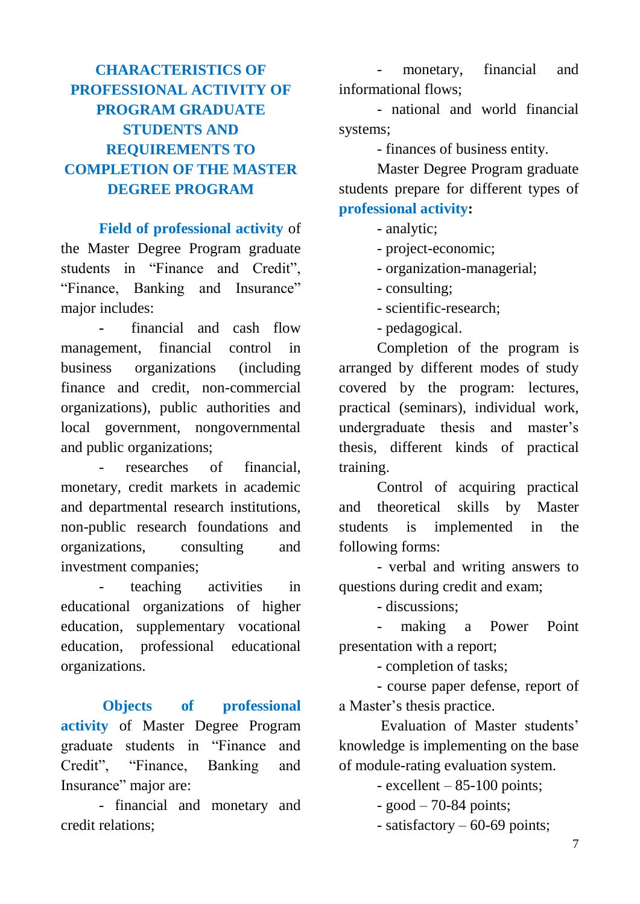# **CHARACTERISTICS OF PROFESSIONAL ACTIVITY OF PROGRAM GRADUATE STUDENTS AND REQUIREMENTS TO COMPLETION OF THE MASTER DEGREE PROGRAM**

**Field of professional activity** of the Master Degree Program graduate students in "Finance and Credit", "Finance, Banking and Insurance" major includes:

**-** financial and cash flow management, financial control in business organizations (including finance and credit, non-commercial organizations), public authorities and local government, nongovernmental and public organizations;

researches of financial, monetary, credit markets in academic and departmental research institutions, non-public research foundations and organizations, consulting and investment companies;

- teaching activities in educational organizations of higher education, supplementary vocational education, professional educational organizations.

**Objects of professional activity** of Master Degree Program graduate students in "Finance and Credit", "Finance, Banking and Insurance" major are:

- financial and monetary and credit relations;

monetary, financial and informational flows;

- national and world financial systems;

- finances of business entity.

Master Degree Program graduate students prepare for different types of **professional activity:**

- analytic;
- project-economic;
- organization-managerial;
- consulting;
- scientific-research;
- pedagogical.

Completion of the program is arranged by different modes of study covered by the program: lectures, practical (seminars), individual work, undergraduate thesis and master's thesis, different kinds of practical training.

Control of acquiring practical and theoretical skills by Master students is implemented in the following forms:

- verbal and writing answers to questions during credit and exam;

- discussions;

making a Power Point presentation with a report;

- completion of tasks;

- course paper defense, report of a Master's thesis practice.

Evaluation of Master students' knowledge is implementing on the base of module-rating evaluation system.

- excellent – 85-100 points;

- $-$  good  $-$  70-84 points;
- satisfactory 60-69 points;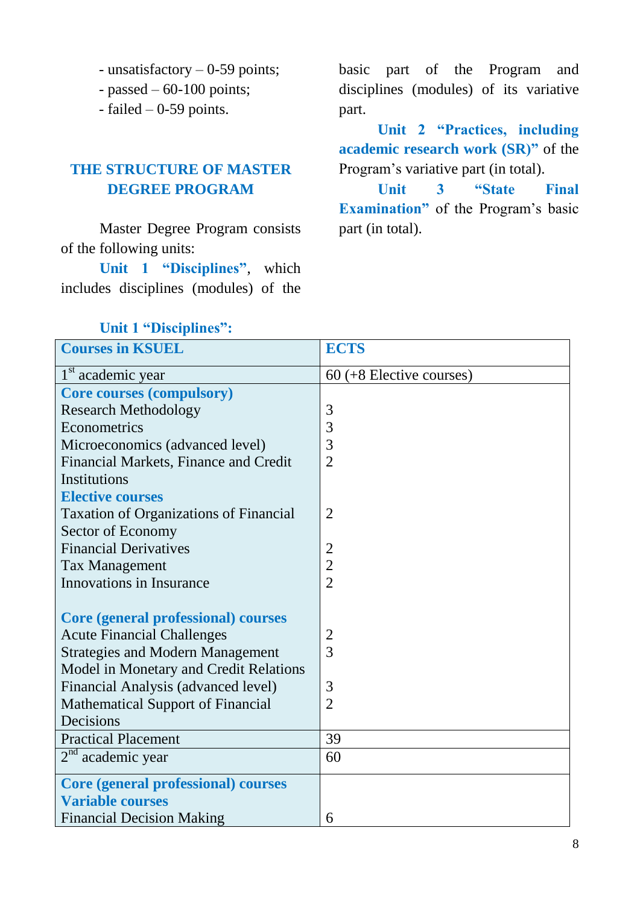- unsatisfactory – 0-59 points;

- passed  $-60-100$  points;

- failed – 0-59 points.

## **THE STRUCTURE OF MASTER DEGREE PROGRAM**

Master Degree Program consists of the following units:

**Unit 1 "Disciplines"**, which includes disciplines (modules) of the

basic part of the Program and disciplines (modules) of its variative part.

**Unit 2 "Practices, including academic research work (SR)"** of the Program's variative part (in total).

**Unit 3 "State Final Examination"** of the Program's basic part (in total).

| <b>Courses in KSUEL</b>                       | <b>ECTS</b>                |
|-----------------------------------------------|----------------------------|
| 1 <sup>st</sup> academic year                 | $60 (+8$ Elective courses) |
| <b>Core courses (compulsory)</b>              |                            |
| <b>Research Methodology</b>                   | 3                          |
| Econometrics                                  | 3                          |
| Microeconomics (advanced level)               | 3                          |
| Financial Markets, Finance and Credit         | $\overline{2}$             |
| Institutions                                  |                            |
| <b>Elective courses</b>                       |                            |
| <b>Taxation of Organizations of Financial</b> | $\overline{2}$             |
| Sector of Economy                             |                            |
| <b>Financial Derivatives</b>                  | $\overline{2}$             |
| <b>Tax Management</b>                         | $\overline{2}$             |
| Innovations in Insurance                      | $\overline{2}$             |
|                                               |                            |
| <b>Core (general professional) courses</b>    |                            |
| <b>Acute Financial Challenges</b>             | $\overline{2}$             |
| <b>Strategies and Modern Management</b>       | 3                          |
| Model in Monetary and Credit Relations        |                            |
| Financial Analysis (advanced level)           | 3                          |
| <b>Mathematical Support of Financial</b>      | $\overline{2}$             |
| Decisions                                     |                            |
| <b>Practical Placement</b>                    | 39                         |
| $2nd$ academic year                           | 60                         |
| <b>Core (general professional) courses</b>    |                            |
| <b>Variable courses</b>                       |                            |
| <b>Financial Decision Making</b>              | 6                          |

#### **Unit 1 "Disciplines":**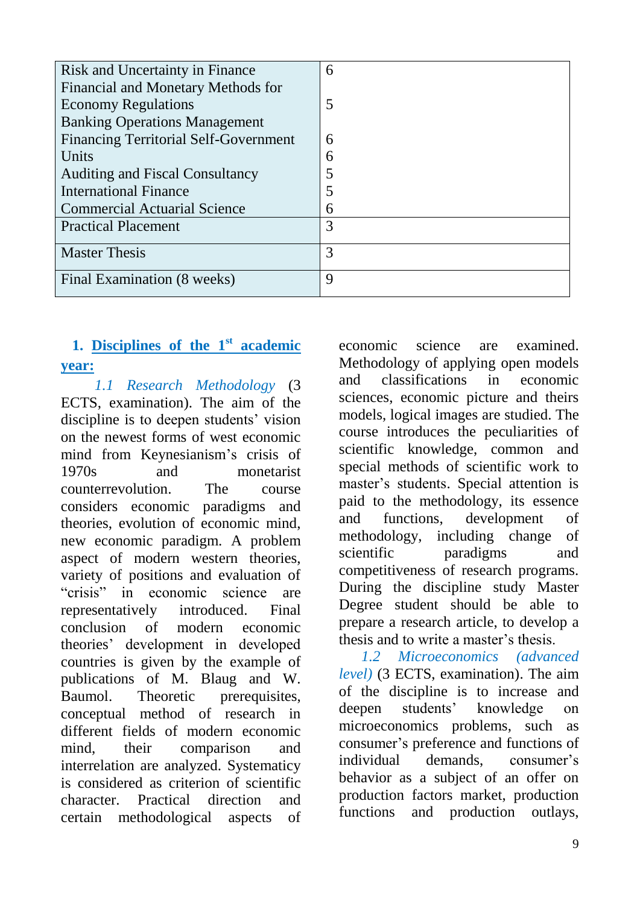| <b>Risk and Uncertainty in Finance</b>       | 6 |
|----------------------------------------------|---|
| Financial and Monetary Methods for           |   |
| <b>Economy Regulations</b>                   | 5 |
| <b>Banking Operations Management</b>         |   |
| <b>Financing Territorial Self-Government</b> | 6 |
| Units                                        | 6 |
| <b>Auditing and Fiscal Consultancy</b>       |   |
| <b>International Finance</b>                 |   |
| <b>Commercial Actuarial Science</b>          | 6 |
| <b>Practical Placement</b>                   | 3 |
| <b>Master Thesis</b>                         | 3 |
| Final Examination (8 weeks)                  | 9 |

# **1. Disciplines of the 1st academic year:**

 *1.1 Research Methodology* (3 ECTS, examination). The aim of the discipline is to deepen students' vision on the newest forms of west economic mind from Keynesianism's crisis of 1970s and monetarist counterrevolution. The course considers economic paradigms and theories, evolution of economic mind, new economic paradigm. A problem aspect of modern western theories, variety of positions and evaluation of "crisis" in economic science are representatively introduced. Final conclusion of modern economic theories' development in developed countries is given by the example of publications of M. Blaug and W. Baumol. Theoretic prerequisites, conceptual method of research in different fields of modern economic mind, their comparison and interrelation are analyzed. Systematicy is considered as criterion of scientific character. Practical direction and certain methodological aspects of economic science are examined. Methodology of applying open models and classifications in economic sciences, economic picture and theirs models, logical images are studied. The course introduces the peculiarities of scientific knowledge, common and special methods of scientific work to master's students. Special attention is paid to the methodology, its essence and functions, development of methodology, including change of scientific paradigms and competitiveness of research programs. During the discipline study Master Degree student should be able to prepare a research article, to develop a thesis and to write a master's thesis.

 *1.2 Microeconomics (advanced level)* (3 ECTS, examination). The aim of the discipline is to increase and deepen students' knowledge on microeconomics problems, such as consumer's preference and functions of individual demands, consumer's behavior as a subject of an offer on production factors market, production functions and production outlays,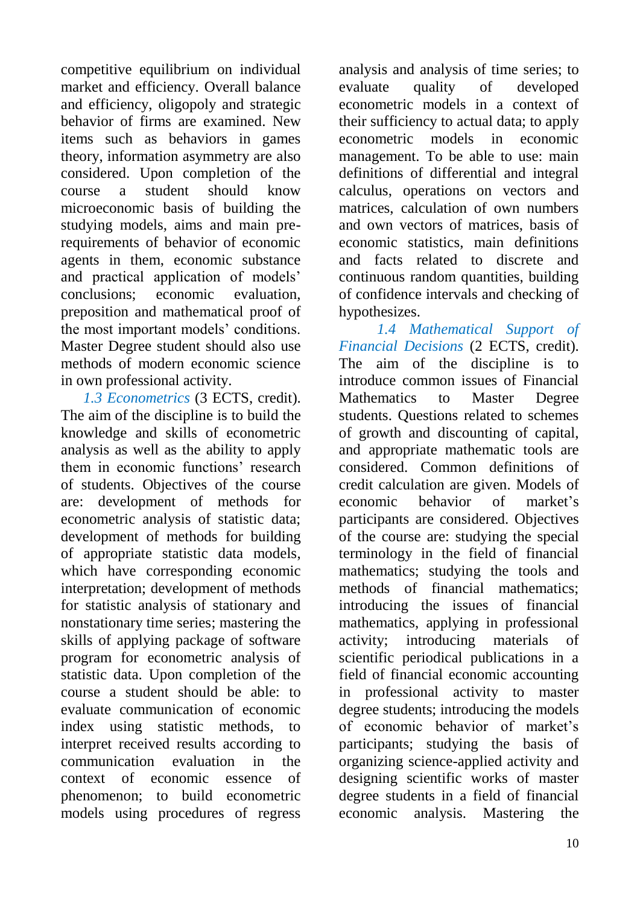competitive equilibrium on individual market and efficiency. Overall balance and efficiency, oligopoly and strategic behavior of firms are examined. New items such as behaviors in games theory, information asymmetry are also considered. Upon completion of the course a student should know microeconomic basis of building the studying models, aims and main prerequirements of behavior of economic agents in them, economic substance and practical application of models' conclusions; economic evaluation, preposition and mathematical proof of the most important models' conditions. Master Degree student should also use methods of modern economic science in own professional activity.

 *1.3 Econometrics* (3 ECTS, credit). The aim of the discipline is to build the knowledge and skills of econometric analysis as well as the ability to apply them in economic functions' research of students. Objectives of the course are: development of methods for econometric analysis of statistic data; development of methods for building of appropriate statistic data models, which have corresponding economic interpretation; development of methods for statistic analysis of stationary and nonstationary time series; mastering the skills of applying package of software program for econometric analysis of statistic data. Upon completion of the course a student should be able: to evaluate communication of economic index using statistic methods, to interpret received results according to communication evaluation in the context of economic essence of phenomenon; to build econometric models using procedures of regress

analysis and analysis of time series; to evaluate quality of developed econometric models in a context of their sufficiency to actual data; to apply econometric models in economic management. To be able to use: main definitions of differential and integral calculus, operations on vectors and matrices, calculation of own numbers and own vectors of matrices, basis of economic statistics, main definitions and facts related to discrete and continuous random quantities, building of confidence intervals and checking of hypothesizes.

*1.4 Mathematical Support of Financial Decisions* (2 ECTS, credit). The aim of the discipline is to introduce common issues of Financial Mathematics to Master Degree students. Questions related to schemes of growth and discounting of capital, and appropriate mathematic tools are considered. Common definitions of credit calculation are given. Models of economic behavior of market's participants are considered. Objectives of the course are: studying the special terminology in the field of financial mathematics; studying the tools and methods of financial mathematics; introducing the issues of financial mathematics, applying in professional activity; introducing materials of scientific periodical publications in a field of financial economic accounting in professional activity to master degree students; introducing the models of economic behavior of market's participants; studying the basis of organizing science-applied activity and designing scientific works of master degree students in a field of financial economic analysis. Mastering the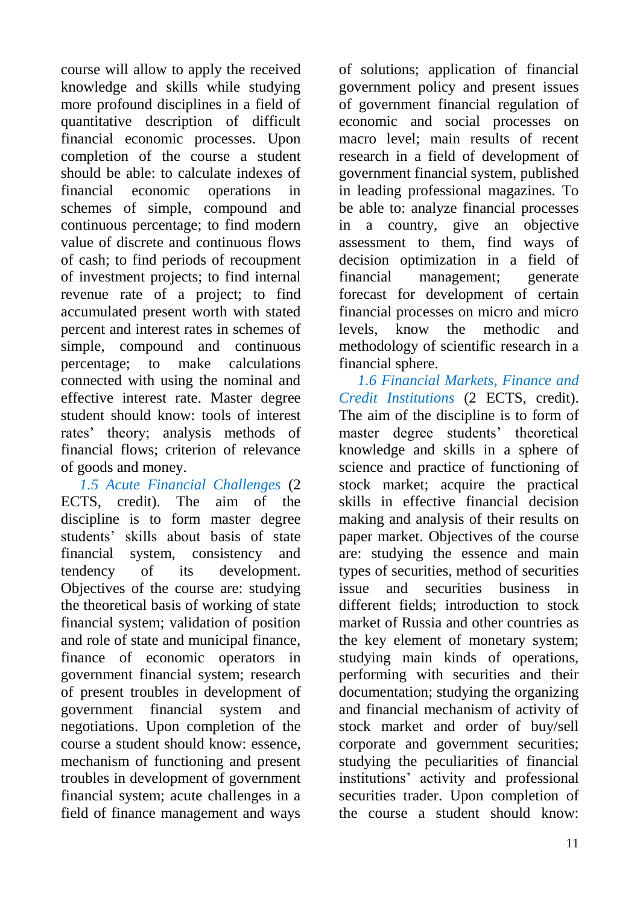course will allow to apply the received knowledge and skills while studying more profound disciplines in a field of quantitative description of difficult financial economic processes. Upon completion of the course a student should be able: to calculate indexes of financial economic operations in schemes of simple, compound and continuous percentage; to find modern value of discrete and continuous flows of cash; to find periods of recoupment of investment projects; to find internal revenue rate of a project; to find accumulated present worth with stated percent and interest rates in schemes of simple, compound and continuous percentage; to make calculations connected with using the nominal and effective interest rate. Master degree student should know: tools of interest rates' theory; analysis methods of financial flows; criterion of relevance of goods and money.

 *1.5 Acute Financial Challenges* (2 ECTS, credit). The aim of the discipline is to form master degree students' skills about basis of state financial system, consistency and tendency of its development. Objectives of the course are: studying the theoretical basis of working of state financial system; validation of position and role of state and municipal finance, finance of economic operators in government financial system; research of present troubles in development of government financial system and negotiations. Upon completion of the course a student should know: essence, mechanism of functioning and present troubles in development of government financial system; acute challenges in a field of finance management and ways

of solutions; application of financial government policy and present issues of government financial regulation of economic and social processes on macro level; main results of recent research in a field of development of government financial system, published in leading professional magazines. To be able to: analyze financial processes in a country, give an objective assessment to them, find ways of decision optimization in a field of financial management; generate forecast for development of certain financial processes on micro and micro levels, know the methodic and methodology of scientific research in a financial sphere.

 *1.6 Financial Markets, Finance and Credit Institutions* (2 ECTS, credit). The aim of the discipline is to form of master degree students' theoretical knowledge and skills in a sphere of science and practice of functioning of stock market; acquire the practical skills in effective financial decision making and analysis of their results on paper market. Objectives of the course are: studying the essence and main types of securities, method of securities issue and securities business in different fields; introduction to stock market of Russia and other countries as the key element of monetary system; studying main kinds of operations, performing with securities and their documentation; studying the organizing and financial mechanism of activity of stock market and order of buy/sell corporate and government securities; studying the peculiarities of financial institutions' activity and professional securities trader. Upon completion of the course a student should know: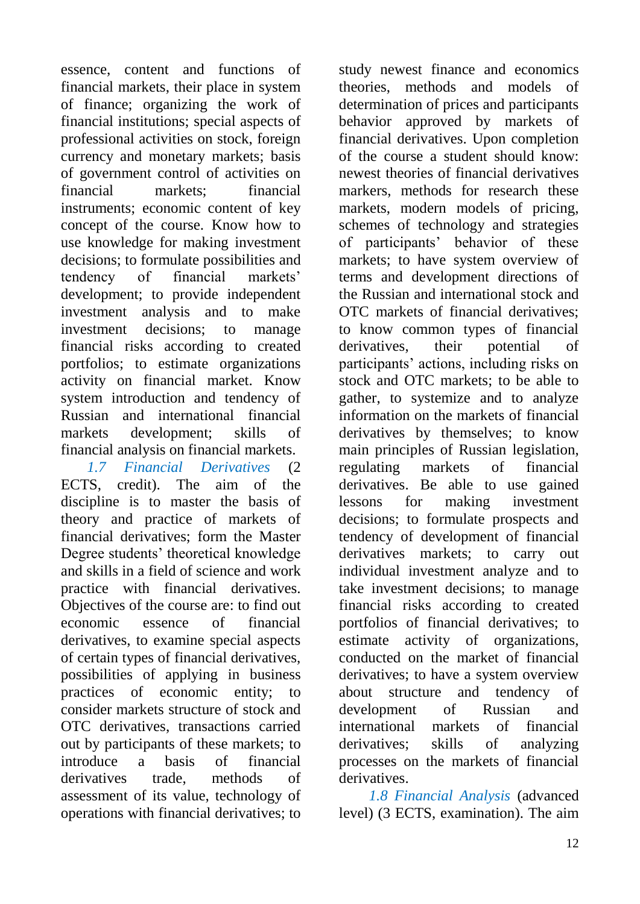essence, content and functions of financial markets, their place in system of finance; organizing the work of financial institutions; special aspects of professional activities on stock, foreign currency and monetary markets; basis of government control of activities on financial markets; financial instruments; economic content of key concept of the course. Know how to use knowledge for making investment decisions; to formulate possibilities and tendency of financial markets' development; to provide independent investment analysis and to make investment decisions; to manage financial risks according to created portfolios; to estimate organizations activity on financial market. Know system introduction and tendency of Russian and international financial markets development; skills of financial analysis on financial markets.

 *1.7 Financial Derivatives* (2 ECTS, credit). The aim of the discipline is to master the basis of theory and practice of markets of financial derivatives; form the Master Degree students' theoretical knowledge and skills in a field of science and work practice with financial derivatives. Objectives of the course are: to find out economic essence of financial derivatives, to examine special aspects of certain types of financial derivatives, possibilities of applying in business practices of economic entity; to consider markets structure of stock and OTC derivatives, transactions carried out by participants of these markets; to introduce a basis of financial derivatives trade, methods of assessment of its value, technology of operations with financial derivatives; to

study newest finance and economics theories, methods and models of determination of prices and participants behavior approved by markets of financial derivatives. Upon completion of the course a student should know: newest theories of financial derivatives markers, methods for research these markets, modern models of pricing, schemes of technology and strategies of participants' behavior of these markets; to have system overview of terms and development directions of the Russian and international stock and OTC markets of financial derivatives; to know common types of financial derivatives, their potential of participants' actions, including risks on stock and OTC markets; to be able to gather, to systemize and to analyze information on the markets of financial derivatives by themselves; to know main principles of Russian legislation, regulating markets of financial derivatives. Be able to use gained lessons for making investment decisions; to formulate prospects and tendency of development of financial derivatives markets; to carry out individual investment analyze and to take investment decisions; to manage financial risks according to created portfolios of financial derivatives; to estimate activity of organizations, conducted on the market of financial derivatives; to have a system overview about structure and tendency of development of Russian and international markets of financial derivatives; skills of analyzing processes on the markets of financial derivatives.

 *1.8 Financial Analysis* (advanced level) (3 ECTS, examination). The aim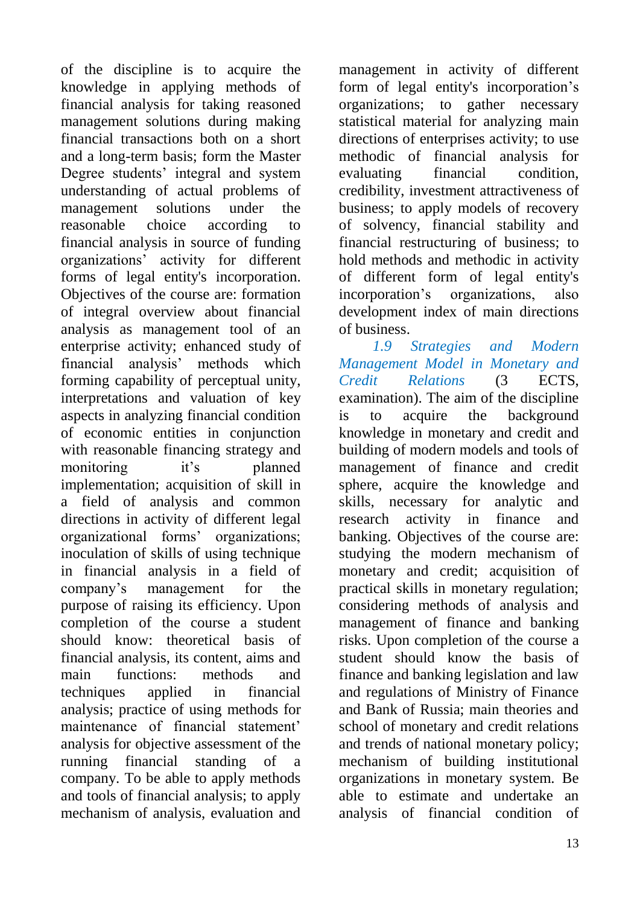of the discipline is to acquire the knowledge in applying methods of financial analysis for taking reasoned management solutions during making financial transactions both on a short and a long-term basis; form the Master Degree students' integral and system understanding of actual problems of management solutions under the reasonable choice according to financial analysis in source of funding organizations' activity for different forms of legal entity's incorporation. Objectives of the course are: formation of integral overview about financial analysis as management tool of an enterprise activity; enhanced study of financial analysis' methods which forming capability of perceptual unity, interpretations and valuation of key aspects in analyzing financial condition of economic entities in conjunction with reasonable financing strategy and monitoring it's planned implementation; acquisition of skill in a field of analysis and common directions in activity of different legal organizational forms' organizations; inoculation of skills of using technique in financial analysis in a field of company's management for the purpose of raising its efficiency. Upon completion of the course a student should know: theoretical basis of financial analysis, its content, aims and main functions: methods and techniques applied in financial analysis; practice of using methods for maintenance of financial statement' analysis for objective assessment of the running financial standing of a company. To be able to apply methods and tools of financial analysis; to apply mechanism of analysis, evaluation and

management in activity of different form of legal entity's incorporation's organizations; to gather necessary statistical material for analyzing main directions of enterprises activity; to use methodic of financial analysis for evaluating financial condition, credibility, investment attractiveness of business; to apply models of recovery of solvency, financial stability and financial restructuring of business; to hold methods and methodic in activity of different form of legal entity's incorporation's organizations, also development index of main directions of business.

 *1.9 Strategies and Modern Management Model in Monetary and Credit Relations* (3 ECTS, examination). The aim of the discipline is to acquire the background knowledge in monetary and credit and building of modern models and tools of management of finance and credit sphere, acquire the knowledge and skills, necessary for analytic and research activity in finance and banking. Objectives of the course are: studying the modern mechanism of monetary and credit; acquisition of practical skills in monetary regulation; considering methods of analysis and management of finance and banking risks. Upon completion of the course a student should know the basis of finance and banking legislation and law and regulations of Ministry of Finance and Bank of Russia; main theories and school of monetary and credit relations and trends of national monetary policy; mechanism of building institutional organizations in monetary system. Be able to estimate and undertake an analysis of financial condition of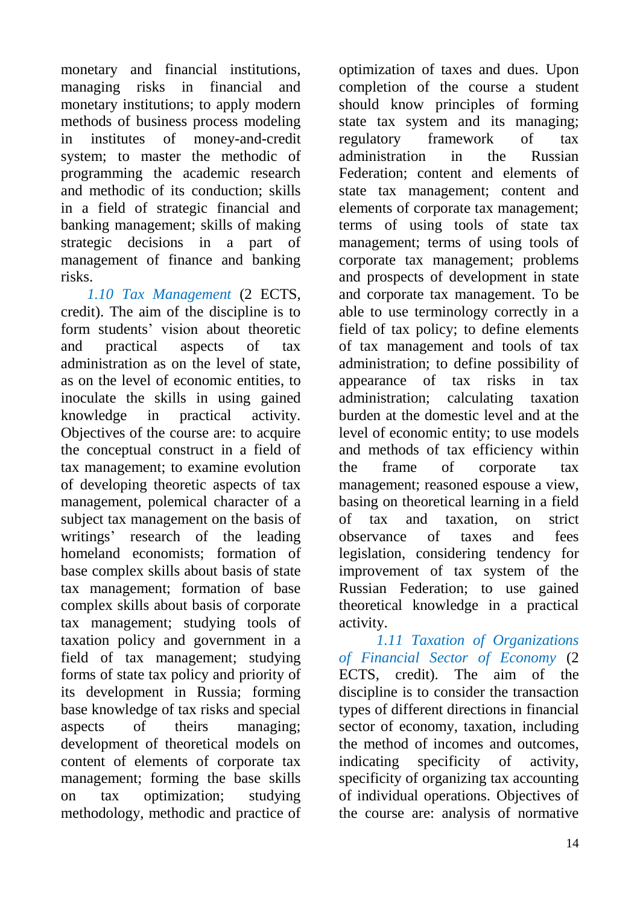monetary and financial institutions, managing risks in financial and monetary institutions; to apply modern methods of business process modeling in institutes of money-and-credit system; to master the methodic of programming the academic research and methodic of its conduction; skills in a field of strategic financial and banking management; skills of making strategic decisions in a part of management of finance and banking risks.

 *1.10 Tax Management* (2 ECTS, credit). The aim of the discipline is to form students' vision about theoretic and practical aspects of tax administration as on the level of state, as on the level of economic entities, to inoculate the skills in using gained knowledge in practical activity. Objectives of the course are: to acquire the conceptual construct in a field of tax management; to examine evolution of developing theoretic aspects of tax management, polemical character of a subject tax management on the basis of writings' research of the leading homeland economists; formation of base complex skills about basis of state tax management; formation of base complex skills about basis of corporate tax management; studying tools of taxation policy and government in a field of tax management; studying forms of state tax policy and priority of its development in Russia; forming base knowledge of tax risks and special aspects of theirs managing; development of theoretical models on content of elements of corporate tax management; forming the base skills on tax optimization; studying methodology, methodic and practice of

optimization of taxes and dues. Upon completion of the course a student should know principles of forming state tax system and its managing; regulatory framework of tax administration in the Russian Federation; content and elements of state tax management; content and elements of corporate tax management; terms of using tools of state tax management; terms of using tools of corporate tax management; problems and prospects of development in state and corporate tax management. To be able to use terminology correctly in a field of tax policy; to define elements of tax management and tools of tax administration; to define possibility of appearance of tax risks in tax administration; calculating taxation burden at the domestic level and at the level of economic entity; to use models and methods of tax efficiency within the frame of corporate tax management; reasoned espouse a view, basing on theoretical learning in a field of tax and taxation, on strict observance of taxes and fees legislation, considering tendency for improvement of tax system of the Russian Federation; to use gained theoretical knowledge in a practical activity.

 *1.11 Taxation of Organizations of Financial Sector of Economy* (2 ECTS, credit). The aim of the discipline is to consider the transaction types of different directions in financial sector of economy, taxation, including the method of incomes and outcomes, indicating specificity of activity, specificity of organizing tax accounting of individual operations. Objectives of the course are: analysis of normative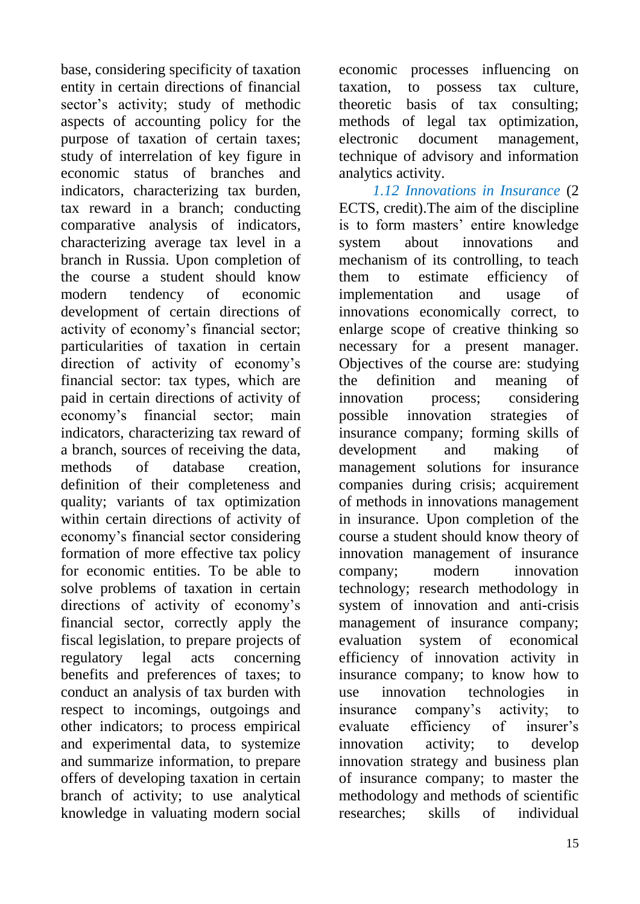base, considering specificity of taxation entity in certain directions of financial sector's activity; study of methodic aspects of accounting policy for the purpose of taxation of certain taxes; study of interrelation of key figure in economic status of branches and indicators, characterizing tax burden, tax reward in a branch; conducting comparative analysis of indicators, characterizing average tax level in a branch in Russia. Upon completion of the course a student should know modern tendency of economic development of certain directions of activity of economy's financial sector; particularities of taxation in certain direction of activity of economy's financial sector: tax types, which are paid in certain directions of activity of economy's financial sector; main indicators, characterizing tax reward of a branch, sources of receiving the data, methods of database creation, definition of their completeness and quality; variants of tax optimization within certain directions of activity of economy's financial sector considering formation of more effective tax policy for economic entities. To be able to solve problems of taxation in certain directions of activity of economy's financial sector, correctly apply the fiscal legislation, to prepare projects of regulatory legal acts concerning benefits and preferences of taxes; to conduct an analysis of tax burden with respect to incomings, outgoings and other indicators; to process empirical and experimental data, to systemize and summarize information, to prepare offers of developing taxation in certain branch of activity; to use analytical knowledge in valuating modern social economic processes influencing on taxation, to possess tax culture, theoretic basis of tax consulting; methods of legal tax optimization, electronic document management, technique of advisory and information analytics activity.

 *1.12 Innovations in Insurance* (2 ECTS, credit).The aim of the discipline is to form masters' entire knowledge system about innovations and mechanism of its controlling, to teach them to estimate efficiency of implementation and usage of innovations economically correct, to enlarge scope of creative thinking so necessary for a present manager. Objectives of the course are: studying the definition and meaning of innovation process; considering possible innovation strategies of insurance company; forming skills of development and making of management solutions for insurance companies during crisis; acquirement of methods in innovations management in insurance. Upon completion of the course a student should know theory of innovation management of insurance company; modern innovation technology; research methodology in system of innovation and anti-crisis management of insurance company; evaluation system of economical efficiency of innovation activity in insurance company; to know how to use innovation technologies in insurance company's activity; to evaluate efficiency of insurer's innovation activity; to develop innovation strategy and business plan of insurance company; to master the methodology and methods of scientific researches; skills of individual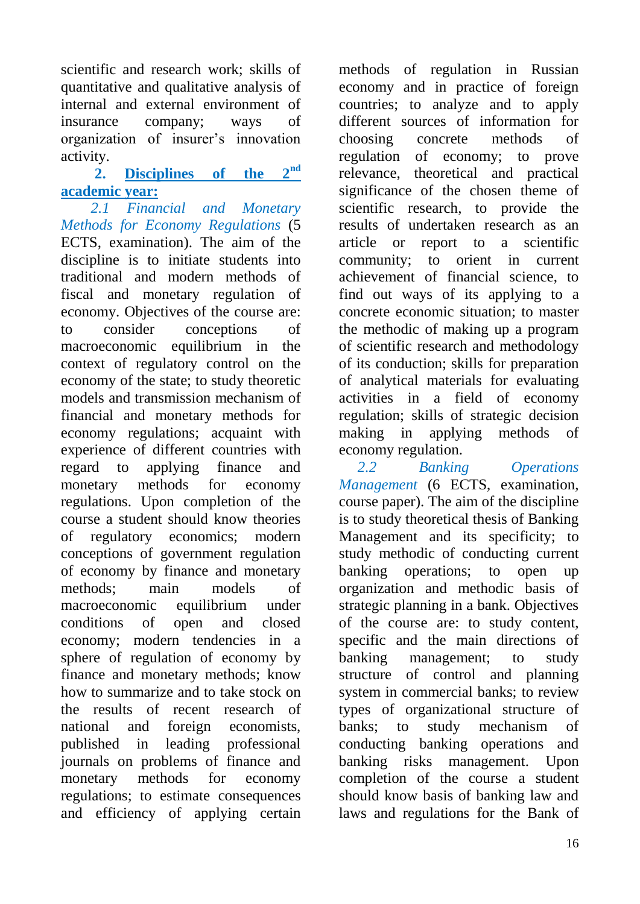scientific and research work; skills of quantitative and qualitative analysis of internal and external environment of insurance company; ways of organization of insurer's innovation activity.

### **2. Disciplines of the 2nd academic year:**

 *2.1 Financial and Monetary Methods for Economy Regulations* (5 ECTS, examination). The aim of the discipline is to initiate students into traditional and modern methods of fiscal and monetary regulation of economy. Objectives of the course are: to consider conceptions of macroeconomic equilibrium in the context of regulatory control on the economy of the state; to study theoretic models and transmission mechanism of financial and monetary methods for economy regulations; acquaint with experience of different countries with regard to applying finance and monetary methods for economy regulations. Upon completion of the course a student should know theories of regulatory economics; modern conceptions of government regulation of economy by finance and monetary methods; main models of macroeconomic equilibrium under conditions of open and closed economy; modern tendencies in a sphere of regulation of economy by finance and monetary methods; know how to summarize and to take stock on the results of recent research of national and foreign economists, published in leading professional journals on problems of finance and monetary methods for economy regulations; to estimate consequences and efficiency of applying certain

methods of regulation in Russian economy and in practice of foreign countries; to analyze and to apply different sources of information for choosing concrete methods of regulation of economy; to prove relevance, theoretical and practical significance of the chosen theme of scientific research, to provide the results of undertaken research as an article or report to a scientific community; to orient in current achievement of financial science, to find out ways of its applying to a concrete economic situation; to master the methodic of making up a program of scientific research and methodology of its conduction; skills for preparation of analytical materials for evaluating activities in a field of economy regulation; skills of strategic decision making in applying methods of economy regulation.

*2.2 Banking Operations Management* (6 ECTS, examination, course paper). The aim of the discipline is to study theoretical thesis of Banking Management and its specificity; to study methodic of conducting current banking operations; to open up organization and methodic basis of strategic planning in a bank. Objectives of the course are: to study content, specific and the main directions of banking management; to study structure of control and planning system in commercial banks; to review types of organizational structure of banks; to study mechanism of conducting banking operations and banking risks management. Upon completion of the course a student should know basis of banking law and laws and regulations for the Bank of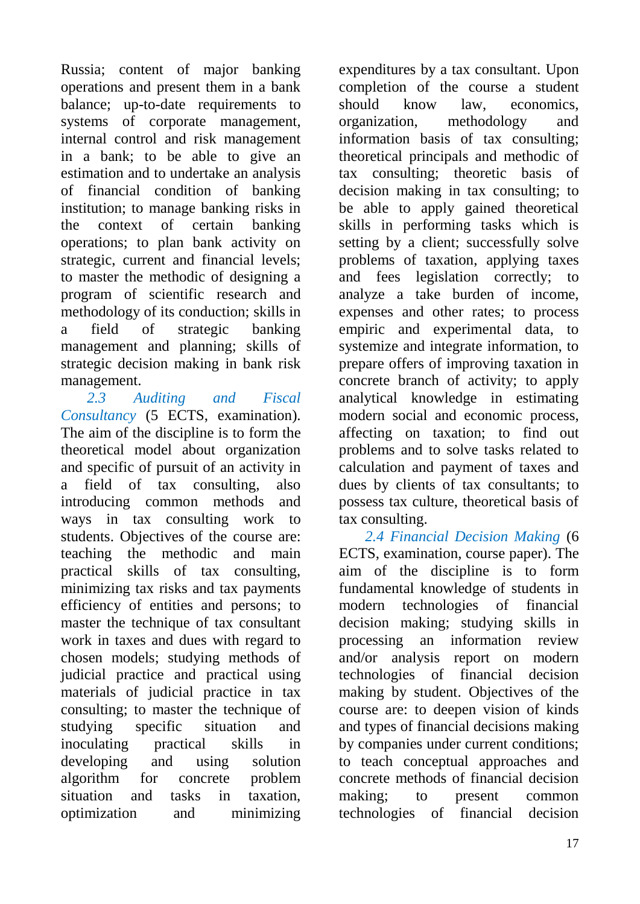Russia; content of major banking operations and present them in a bank balance; up-to-date requirements to systems of corporate management, internal control and risk management in a bank; to be able to give an estimation and to undertake an analysis of financial condition of banking institution; to manage banking risks in the context of certain banking operations; to plan bank activity on strategic, current and financial levels; to master the methodic of designing a program of scientific research and methodology of its conduction; skills in a field of strategic banking management and planning; skills of strategic decision making in bank risk management.

 *2.3 Auditing and Fiscal Consultancy* (5 ECTS, examination). The aim of the discipline is to form the theoretical model about organization and specific of pursuit of an activity in a field of tax consulting, also introducing common methods and ways in tax consulting work to students. Objectives of the course are: teaching the methodic and main practical skills of tax consulting, minimizing tax risks and tax payments efficiency of entities and persons; to master the technique of tax consultant work in taxes and dues with regard to chosen models; studying methods of judicial practice and practical using materials of judicial practice in tax consulting; to master the technique of studying specific situation and inoculating practical skills in developing and using solution algorithm for concrete problem situation and tasks in taxation, optimization and minimizing

expenditures by a tax consultant. Upon completion of the course a student should know law, economics, organization, methodology and information basis of tax consulting; theoretical principals and methodic of tax consulting; theoretic basis of decision making in tax consulting; to be able to apply gained theoretical skills in performing tasks which is setting by a client; successfully solve problems of taxation, applying taxes and fees legislation correctly; to analyze a take burden of income, expenses and other rates; to process empiric and experimental data, to systemize and integrate information, to prepare offers of improving taxation in concrete branch of activity; to apply analytical knowledge in estimating modern social and economic process, affecting on taxation; to find out problems and to solve tasks related to calculation and payment of taxes and dues by clients of tax consultants; to possess tax culture, theoretical basis of tax consulting.

 *2.4 Financial Decision Making* (6 ECTS, examination, course paper). The aim of the discipline is to form fundamental knowledge of students in modern technologies of financial decision making; studying skills in processing an information review and/or analysis report on modern technologies of financial decision making by student. Objectives of the course are: to deepen vision of kinds and types of financial decisions making by companies under current conditions; to teach conceptual approaches and concrete methods of financial decision making; to present common technologies of financial decision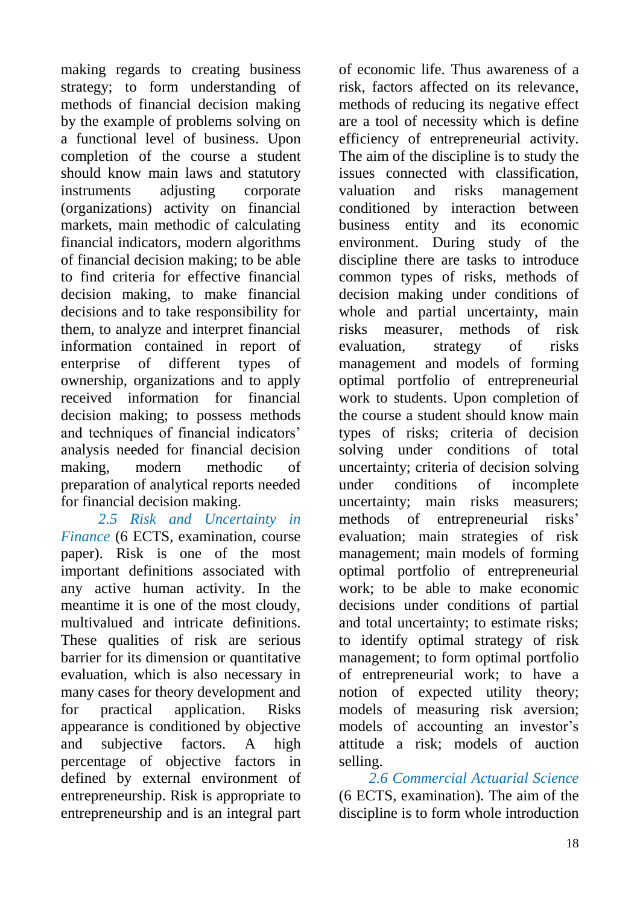making regards to creating business strategy; to form understanding of methods of financial decision making by the example of problems solving on a functional level of business. Upon completion of the course a student should know main laws and statutory instruments adjusting corporate (organizations) activity on financial markets, main methodic of calculating financial indicators, modern algorithms of financial decision making; to be able to find criteria for effective financial decision making, to make financial decisions and to take responsibility for them, to analyze and interpret financial information contained in report of enterprise of different types of ownership, organizations and to apply received information for financial decision making; to possess methods and techniques of financial indicators' analysis needed for financial decision making, modern methodic of preparation of analytical reports needed for financial decision making.

 *2.5 Risk and Uncertainty in Finance* (6 ECTS, examination, course paper). Risk is one of the most important definitions associated with any active human activity. In the meantime it is one of the most cloudy, multivalued and intricate definitions. These qualities of risk are serious barrier for its dimension or quantitative evaluation, which is also necessary in many cases for theory development and for practical application. Risks appearance is conditioned by objective and subjective factors. A high percentage of objective factors in defined by external environment of entrepreneurship. Risk is appropriate to entrepreneurship and is an integral part

of economic life. Thus awareness of a risk, factors affected on its relevance, methods of reducing its negative effect are a tool of necessity which is define efficiency of entrepreneurial activity. The aim of the discipline is to study the issues connected with classification, valuation and risks management conditioned by interaction between business entity and its economic environment. During study of the discipline there are tasks to introduce common types of risks, methods of decision making under conditions of whole and partial uncertainty, main risks measurer, methods of risk evaluation, strategy of risks management and models of forming optimal portfolio of entrepreneurial work to students. Upon completion of the course a student should know main types of risks; criteria of decision solving under conditions of total uncertainty; criteria of decision solving under conditions of incomplete uncertainty; main risks measurers; methods of entrepreneurial risks' evaluation; main strategies of risk management; main models of forming optimal portfolio of entrepreneurial work; to be able to make economic decisions under conditions of partial and total uncertainty; to estimate risks; to identify optimal strategy of risk management; to form optimal portfolio of entrepreneurial work; to have a notion of expected utility theory; models of measuring risk aversion; models of accounting an investor's attitude a risk; models of auction selling.

 *2.6 Commercial Actuarial Science* (6 ECTS, examination). The aim of the discipline is to form whole introduction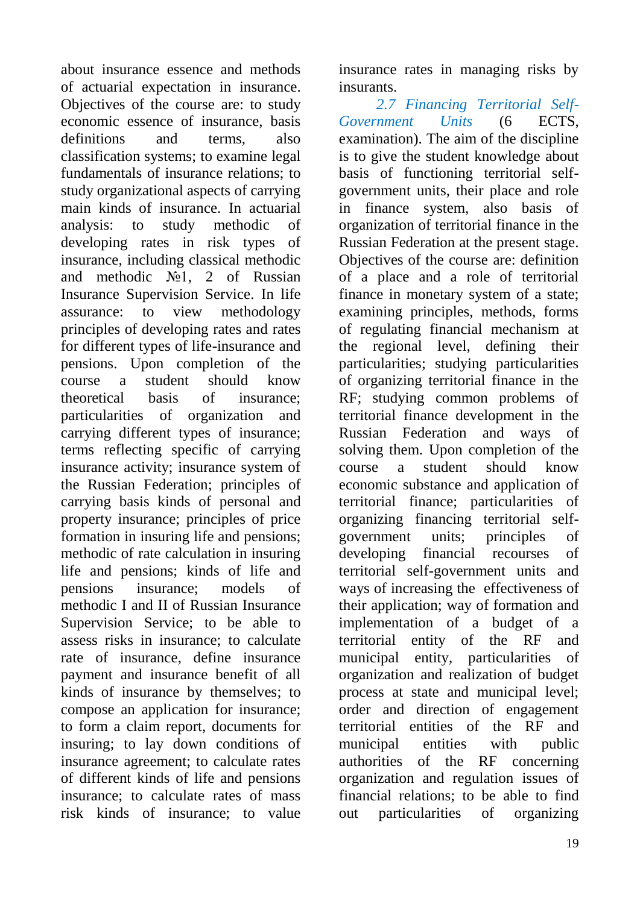about insurance essence and methods of actuarial expectation in insurance. Objectives of the course are: to study economic essence of insurance, basis definitions and terms also classification systems; to examine legal fundamentals of insurance relations; to study organizational aspects of carrying main kinds of insurance. In actuarial analysis: to study methodic of developing rates in risk types of insurance, including classical methodic and methodic №1, 2 of Russian Insurance Supervision Service. In life assurance: to view methodology principles of developing rates and rates for different types of life-insurance and pensions. Upon completion of the course a student should know theoretical basis of insurance; particularities of organization and carrying different types of insurance; terms reflecting specific of carrying insurance activity; insurance system of the Russian Federation; principles of carrying basis kinds of personal and property insurance; principles of price formation in insuring life and pensions; methodic of rate calculation in insuring life and pensions; kinds of life and pensions insurance; models of methodic I and II of Russian Insurance Supervision Service; to be able to assess risks in insurance; to calculate rate of insurance, define insurance payment and insurance benefit of all kinds of insurance by themselves; to compose an application for insurance; to form a claim report, documents for insuring; to lay down conditions of insurance agreement; to calculate rates of different kinds of life and pensions insurance; to calculate rates of mass risk kinds of insurance; to value

insurance rates in managing risks by insurants.

 *2.7 Financing Territorial Self-Government Units* (6 ECTS, examination). The aim of the discipline is to give the student knowledge about basis of functioning territorial selfgovernment units, their place and role in finance system, also basis of organization of territorial finance in the Russian Federation at the present stage. Objectives of the course are: definition of a place and a role of territorial finance in monetary system of a state; examining principles, methods, forms of regulating financial mechanism at the regional level, defining their particularities; studying particularities of organizing territorial finance in the RF; studying common problems of territorial finance development in the Russian Federation and ways of solving them. Upon completion of the course a student should know economic substance and application of territorial finance; particularities of organizing financing territorial selfgovernment units; principles of developing financial recourses of territorial self-government units and ways of increasing the effectiveness of their application; way of formation and implementation of a budget of a territorial entity of the RF and municipal entity, particularities of organization and realization of budget process at state and municipal level; order and direction of engagement territorial entities of the RF and municipal entities with public authorities of the RF concerning organization and regulation issues of financial relations; to be able to find out particularities of organizing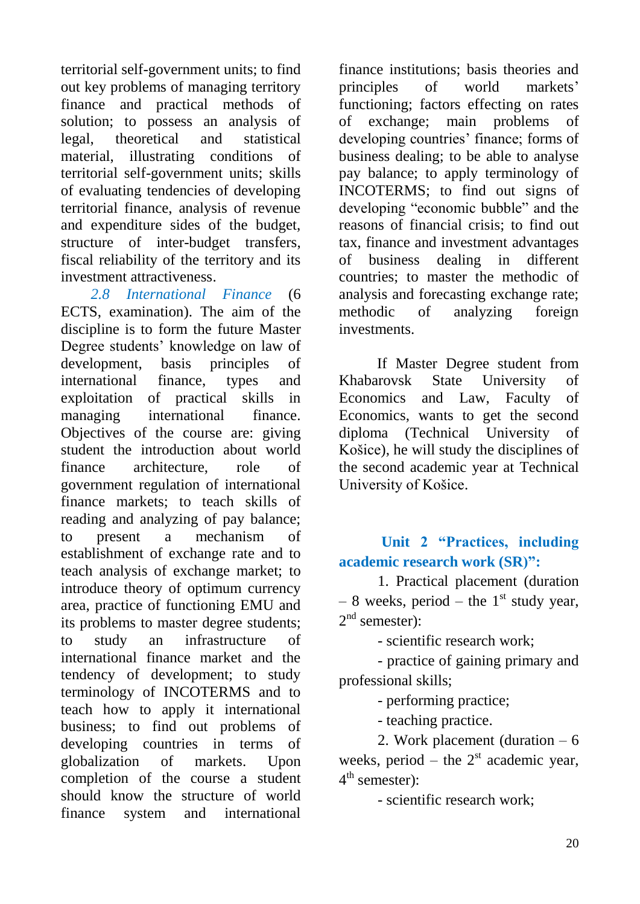territorial self-government units; to find out key problems of managing territory finance and practical methods of solution; to possess an analysis of legal, theoretical and statistical material, illustrating conditions of territorial self-government units; skills of evaluating tendencies of developing territorial finance, analysis of revenue and expenditure sides of the budget, structure of inter-budget transfers, fiscal reliability of the territory and its investment attractiveness.

 *2.8 International Finance* (6 ECTS, examination). The aim of the discipline is to form the future Master Degree students' knowledge on law of development, basis principles of international finance, types and exploitation of practical skills in managing international finance. Objectives of the course are: giving student the introduction about world finance architecture, role of government regulation of international finance markets; to teach skills of reading and analyzing of pay balance; to present a mechanism of establishment of exchange rate and to teach analysis of exchange market; to introduce theory of optimum currency area, practice of functioning EMU and its problems to master degree students; to study an infrastructure of international finance market and the tendency of development; to study terminology of INCOTERMS and to teach how to apply it international business; to find out problems of developing countries in terms of globalization of markets. Upon completion of the course a student should know the structure of world finance system and international

finance institutions; basis theories and principles of world markets' functioning; factors effecting on rates of exchange; main problems of developing countries' finance; forms of business dealing; to be able to analyse pay balance; to apply terminology of INCOTERMS; to find out signs of developing "economic bubble" and the reasons of financial crisis; to find out tax, finance and investment advantages of business dealing in different countries; to master the methodic of analysis and forecasting exchange rate; methodic of analyzing foreign investments.

If Master Degree student from Khabarovsk State University of Economics and Law, Faculty of Economics, wants to get the second diploma (Technical University of Košice), he will study the disciplines of the second academic year at Technical University of Košice.

**Unit 2 "Practices, including academic research work (SR)":**

1. Practical placement (duration – 8 weeks, period – the  $1<sup>st</sup>$  study year,  $2<sup>nd</sup>$  semester):

- scientific research work;

- practice of gaining primary and professional skills;

- performing practice;

- teaching practice.

2. Work placement (duration – 6 weeks, period – the  $2<sup>st</sup>$  academic year, 4<sup>th</sup> semester):

- scientific research work;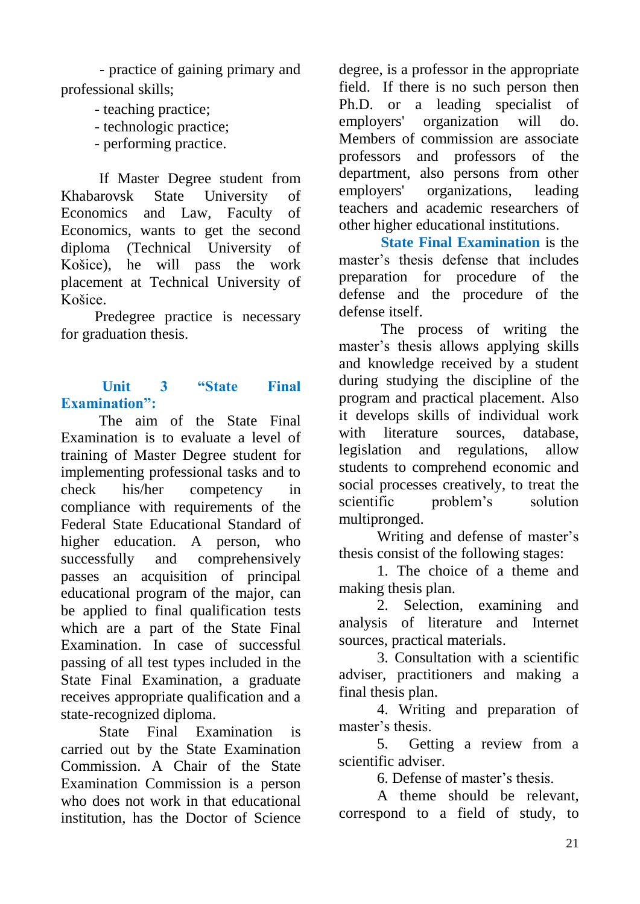- practice of gaining primary and professional skills;

- teaching practice;
- technologic practice;
- performing practice.

If Master Degree student from Khabarovsk State University of Economics and Law, Faculty of Economics, wants to get the second diploma (Technical University of Košice), he will pass the work placement at Technical University of Košice.

 Predegree practice is necessary for graduation thesis.

#### **Unit 3 "State Final Examination":**

The aim of the State Final Examination is to evaluate a level of training of Master Degree student for implementing professional tasks and to check his/her competency in compliance with requirements of the Federal State Educational Standard of higher education. A person, who successfully and comprehensively passes an acquisition of principal educational program of the major, can be applied to final qualification tests which are a part of the State Final Examination. In case of successful passing of all test types included in the State Final Examination, a graduate receives appropriate qualification and a state-recognized diploma.

State Final Examination is carried out by the State Examination Commission. A Chair of the State Examination Commission is a person who does not work in that educational institution, has the Doctor of Science

degree, is a professor in the appropriate field. If there is no such person then Ph.D. or a leading specialist of employers' organization will do. Members of commission are associate professors and professors of the department, also persons from other employers' organizations, leading teachers and academic researchers of other higher educational institutions.

**State Final Examination** is the master's thesis defense that includes preparation for procedure of the defense and the procedure of the defense itself.

The process of writing the master's thesis allows applying skills and knowledge received by a student during studying the discipline of the program and practical placement. Also it develops skills of individual work with literature sources, database, legislation and regulations, allow students to comprehend economic and social processes creatively, to treat the scientific problem's solution multipronged.

Writing and defense of master's thesis consist of the following stages:

1. The choice of a theme and making thesis plan.

2. Selection, examining and analysis of literature and Internet sources, practical materials.

3. Consultation with a scientific adviser, practitioners and making a final thesis plan.

4. Writing and preparation of master's thesis.

5. Getting a review from a scientific adviser.

6. Defense of master's thesis.

A theme should be relevant, correspond to a field of study, to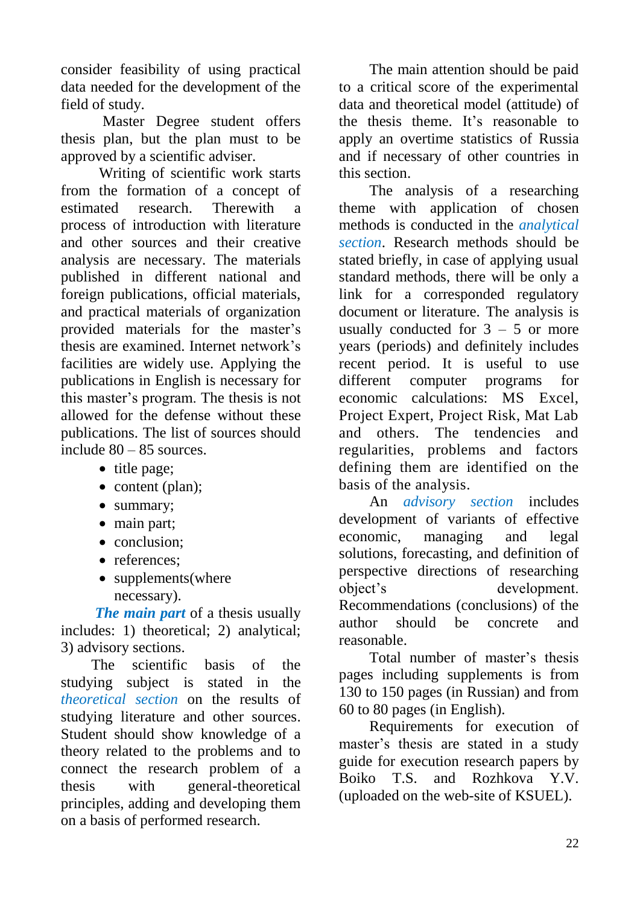consider feasibility of using practical data needed for the development of the field of study.

Master Degree student offers thesis plan, but the plan must to be approved by a scientific adviser.

Writing of scientific work starts from the formation of a concept of estimated research. Therewith a process of introduction with literature and other sources and their creative analysis are necessary. The materials published in different national and foreign publications, official materials, and practical materials of organization provided materials for the master's thesis are examined. Internet network's facilities are widely use. Applying the publications in English is necessary for this master's program. The thesis is not allowed for the defense without these publications. The list of sources should include 80 – 85 sources.

- title page;
- $\bullet$  content (plan);
- summary;
- main part:
- conclusion;
- references:
- supplements(where necessary).

*The main part* of a thesis usually includes: 1) theoretical; 2) analytical; 3) advisory sections.

The scientific basis of the studying subject is stated in the *theoretical section* on the results of studying literature and other sources. Student should show knowledge of a theory related to the problems and to connect the research problem of a thesis with general-theoretical principles, adding and developing them on a basis of performed research.

The main attention should be paid to a critical score of the experimental data and theoretical model (attitude) of the thesis theme. It's reasonable to apply an overtime statistics of Russia and if necessary of other countries in this section.

The analysis of a researching theme with application of chosen methods is conducted in the *analytical section*. Research methods should be stated briefly, in case of applying usual standard methods, there will be only a link for a corresponded regulatory document or literature. The analysis is usually conducted for  $3 - 5$  or more years (periods) and definitely includes recent period. It is useful to use different computer programs for economic calculations: MS Excel, Project Expert, Project Risk, Mat Lab and others. The tendencies and regularities, problems and factors defining them are identified on the basis of the analysis.

An *advisory section* includes development of variants of effective economic, managing and legal solutions, forecasting, and definition of perspective directions of researching object's development. Recommendations (conclusions) of the author should be concrete and reasonable.

Total number of master's thesis pages including supplements is from 130 to 150 pages (in Russian) and from 60 to 80 pages (in English).

Requirements for execution of master's thesis are stated in a study guide for execution research papers by Boiko T.S. and Rozhkova Y.V. (uploaded on the web-site of KSUEL).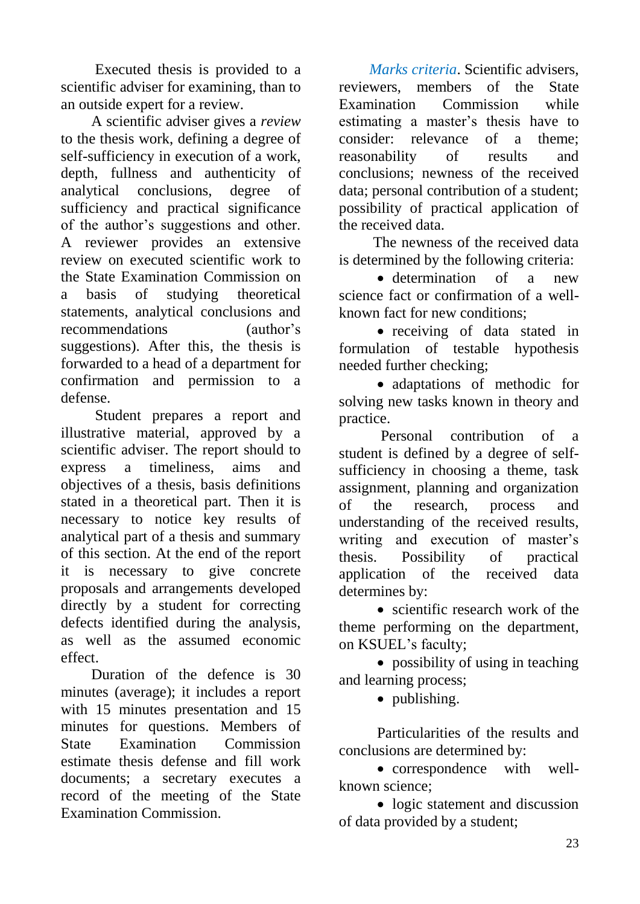Executed thesis is provided to a scientific adviser for examining, than to an outside expert for a review.

A scientific adviser gives a *review* to the thesis work, defining a degree of self-sufficiency in execution of a work, depth, fullness and authenticity of analytical conclusions, degree of sufficiency and practical significance of the author's suggestions and other. A reviewer provides an extensive review on executed scientific work to the State Examination Commission on a basis of studying theoretical statements, analytical conclusions and recommendations (author's suggestions). After this, the thesis is forwarded to a head of a department for confirmation and permission to a defense.

Student prepares a report and illustrative material, approved by a scientific adviser. The report should to express a timeliness, aims and objectives of a thesis, basis definitions stated in a theoretical part. Then it is necessary to notice key results of analytical part of a thesis and summary of this section. At the end of the report it is necessary to give concrete proposals and arrangements developed directly by a student for correcting defects identified during the analysis, as well as the assumed economic effect.

Duration of the defence is 30 minutes (average); it includes a report with 15 minutes presentation and 15 minutes for questions. Members of State Examination Commission estimate thesis defense and fill work documents; a secretary executes a record of the meeting of the State Examination Commission.

*Marks criteria*. Scientific advisers, reviewers, members of the State Examination Commission while estimating a master's thesis have to consider: relevance of a theme; reasonability of results and conclusions; newness of the received data; personal contribution of a student; possibility of practical application of the received data.

The newness of the received data is determined by the following criteria:

 determination of a new science fact or confirmation of a wellknown fact for new conditions;

• receiving of data stated in formulation of testable hypothesis needed further checking;

 adaptations of methodic for solving new tasks known in theory and practice.

Personal contribution of a student is defined by a degree of selfsufficiency in choosing a theme, task assignment, planning and organization of the research, process and understanding of the received results, writing and execution of master's thesis. Possibility of practical application of the received data determines by:

• scientific research work of the theme performing on the department, on KSUEL's faculty;

• possibility of using in teaching and learning process;

• publishing.

Particularities of the results and conclusions are determined by:

• correspondence with wellknown science;

• logic statement and discussion of data provided by a student;